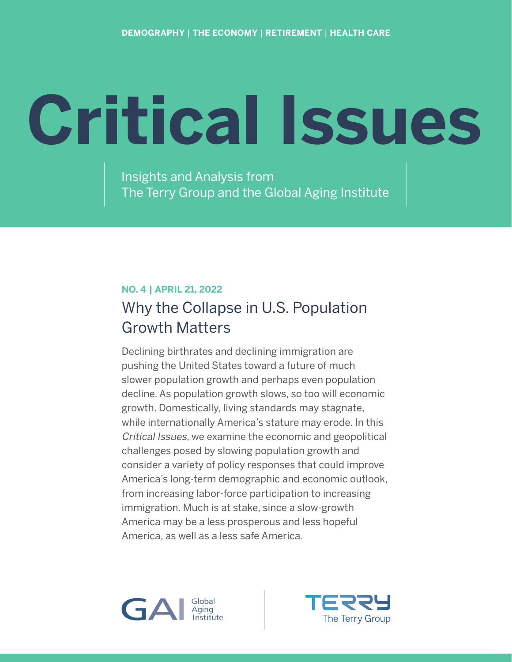# **Critical Issues**

Insights and Analysis from The Terry Group and the Global Aging Institute

# **NO. 4 | APRIL 21, 2022** Why the Collapse in U.S. Population Growth Matters

Declining birthrates and declining immigration are pushing the United States toward a future of much slower population growth and perhaps even population decline. As population growth slows, so too will economic growth. Domestically, living standards may stagnate, while internationally America's stature may erode. In this Critical Issues, we examine the economic and geopolitical challenges posed by slowing population growth and consider a variety of policy responses that could improve America's long-term demographic and economic outlook, from increasing labor-force participation to increasing immigration. Much is at stake, since a slow-growth America may be a less prosperous and less hopeful America, as well as a less safe America.



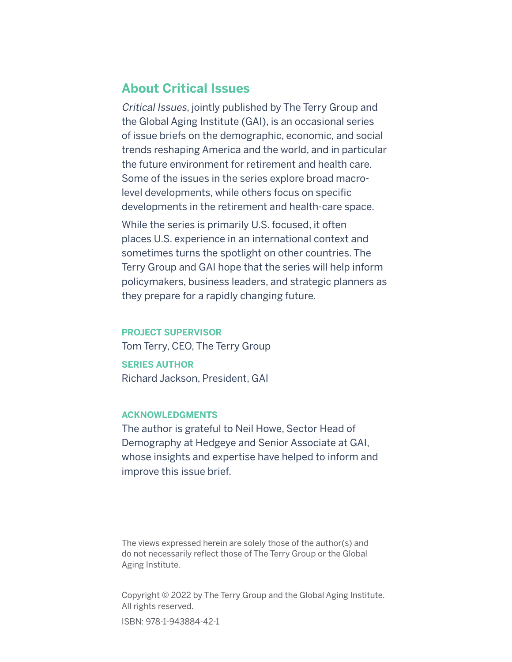## **About Critical Issues**

Critical Issues, jointly published by The Terry Group and the Global Aging Institute (GAI), is an occasional series of issue briefs on the demographic, economic, and social trends reshaping America and the world, and in particular the future environment for retirement and health care. Some of the issues in the series explore broad macrolevel developments, while others focus on specific developments in the retirement and health-care space.

While the series is primarily U.S. focused, it often places U.S. experience in an international context and sometimes turns the spotlight on other countries. The Terry Group and GAI hope that the series will help inform policymakers, business leaders, and strategic planners as they prepare for a rapidly changing future.

#### **PROJECT SUPERVISOR**

Tom Terry, CEO, The Terry Group

**SERIES AUTHOR** Richard Jackson, President, GAI

#### **ACKNOWLEDGMENTS**

The author is grateful to Neil Howe, Sector Head of Demography at Hedgeye and Senior Associate at GAI, whose insights and expertise have helped to inform and improve this issue brief.

The views expressed herein are solely those of the author(s) and do not necessarily reflect those of The Terry Group or the Global Aging Institute.

Copyright © 2022 by The Terry Group and the Global Aging Institute. All rights reserved. ISBN: 978-1-943884-42-1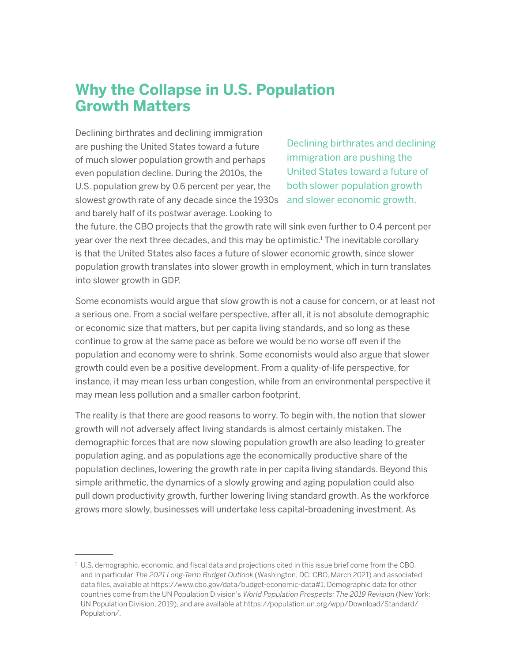# **Why the Collapse in U.S. Population Growth Matters**

Declining birthrates and declining immigration are pushing the United States toward a future of much slower population growth and perhaps even population decline. During the 2010s, the U.S. population grew by 0.6 percent per year, the slowest growth rate of any decade since the 1930s and barely half of its postwar average. Looking to

Declining birthrates and declining immigration are pushing the United States toward a future of both slower population growth and slower economic growth.

the future, the CBO projects that the growth rate will sink even further to 0.4 percent per year over the next three decades, and this may be optimistic.<sup>1</sup> The inevitable corollary is that the United States also faces a future of slower economic growth, since slower population growth translates into slower growth in employment, which in turn translates into slower growth in GDP.

Some economists would argue that slow growth is not a cause for concern, or at least not a serious one. From a social welfare perspective, after all, it is not absolute demographic or economic size that matters, but per capita living standards, and so long as these continue to grow at the same pace as before we would be no worse off even if the population and economy were to shrink. Some economists would also argue that slower growth could even be a positive development. From a quality-of-life perspective, for instance, it may mean less urban congestion, while from an environmental perspective it may mean less pollution and a smaller carbon footprint.

The reality is that there are good reasons to worry. To begin with, the notion that slower growth will not adversely affect living standards is almost certainly mistaken. The demographic forces that are now slowing population growth are also leading to greater population aging, and as populations age the economically productive share of the population declines, lowering the growth rate in per capita living standards. Beyond this simple arithmetic, the dynamics of a slowly growing and aging population could also pull down productivity growth, further lowering living standard growth. As the workforce grows more slowly, businesses will undertake less capital-broadening investment. As

 $^{\rm 1}$  U.S. demographic, economic, and fiscal data and projections cited in this issue brief come from the CBO, and in particular The 2021 Long-Term Budget Outlook (Washington, DC: CBO, March 2021) and associated data files, available at https://www.cbo.gov/data/budget-economic-data#1. Demographic data for other countries come from the UN Population Division's World Population Prospects: The 2019 Revision (New York: UN Population Division, 2019), and are available at https://population.un.org/wpp/Download/Standard/ Population/.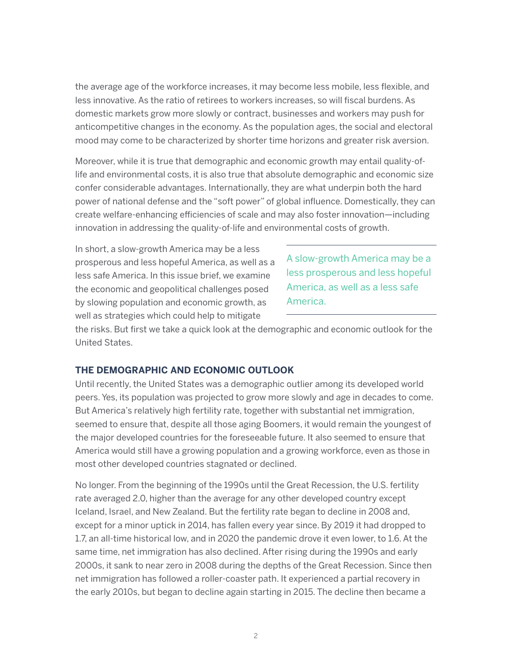the average age of the workforce increases, it may become less mobile, less flexible, and less innovative. As the ratio of retirees to workers increases, so will fiscal burdens. As domestic markets grow more slowly or contract, businesses and workers may push for anticompetitive changes in the economy. As the population ages, the social and electoral mood may come to be characterized by shorter time horizons and greater risk aversion.

Moreover, while it is true that demographic and economic growth may entail quality-oflife and environmental costs, it is also true that absolute demographic and economic size confer considerable advantages. Internationally, they are what underpin both the hard power of national defense and the "soft power" of global influence. Domestically, they can create welfare-enhancing efficiencies of scale and may also foster innovation—including innovation in addressing the quality-of-life and environmental costs of growth.

In short, a slow-growth America may be a less prosperous and less hopeful America, as well as a less safe America. In this issue brief, we examine the economic and geopolitical challenges posed by slowing population and economic growth, as well as strategies which could help to mitigate

A slow-growth America may be a less prosperous and less hopeful America, as well as a less safe America.

the risks. But first we take a quick look at the demographic and economic outlook for the United States.

#### **THE DEMOGRAPHIC AND ECONOMIC OUTLOOK**

Until recently, the United States was a demographic outlier among its developed world peers. Yes, its population was projected to grow more slowly and age in decades to come. But America's relatively high fertility rate, together with substantial net immigration, seemed to ensure that, despite all those aging Boomers, it would remain the youngest of the major developed countries for the foreseeable future. It also seemed to ensure that America would still have a growing population and a growing workforce, even as those in most other developed countries stagnated or declined.

No longer. From the beginning of the 1990s until the Great Recession, the U.S. fertility rate averaged 2.0, higher than the average for any other developed country except Iceland, Israel, and New Zealand. But the fertility rate began to decline in 2008 and, except for a minor uptick in 2014, has fallen every year since. By 2019 it had dropped to 1.7, an all-time historical low, and in 2020 the pandemic drove it even lower, to 1.6. At the same time, net immigration has also declined. After rising during the 1990s and early 2000s, it sank to near zero in 2008 during the depths of the Great Recession. Since then net immigration has followed a roller-coaster path. It experienced a partial recovery in the early 2010s, but began to decline again starting in 2015. The decline then became a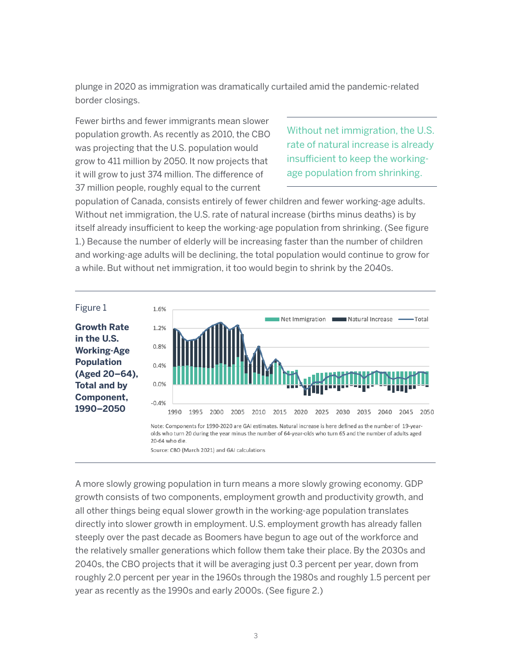plunge in 2020 as immigration was dramatically curtailed amid the pandemic-related border closings.

Fewer births and fewer immigrants mean slower population growth. As recently as 2010, the CBO was projecting that the U.S. population would grow to 411 million by 2050. It now projects that it will grow to just 374 million. The difference of 37 million people, roughly equal to the current

Without net immigration, the U.S. rate of natural increase is already insufficient to keep the workingage population from shrinking.

population of Canada, consists entirely of fewer children and fewer working-age adults. Without net immigration, the U.S. rate of natural increase (births minus deaths) is by itself already insufficient to keep the working-age population from shrinking. (See figure 1.) Because the number of elderly will be increasing faster than the number of children and working-age adults will be declining, the total population would continue to grow for a while. But without net immigration, it too would begin to shrink by the 2040s.



Source: CBO (March 2021) and GAI calculations

A more slowly growing population in turn means a more slowly growing economy. GDP growth consists of two components, employment growth and productivity growth, and all other things being equal slower growth in the working-age population translates directly into slower growth in employment. U.S. employment growth has already fallen steeply over the past decade as Boomers have begun to age out of the workforce and the relatively smaller generations which follow them take their place. By the 2030s and 2040s, the CBO projects that it will be averaging just 0.3 percent per year, down from roughly 2.0 percent per year in the 1960s through the 1980s and roughly 1.5 percent per year as recently as the 1990s and early 2000s. (See figure 2.)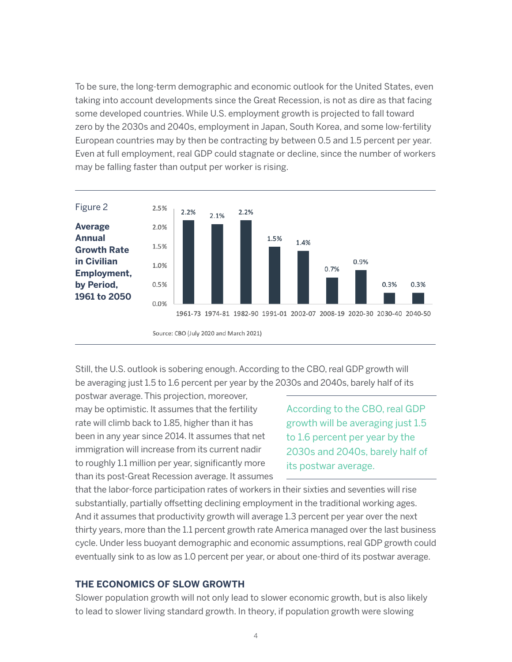To be sure, the long-term demographic and economic outlook for the United States, even taking into account developments since the Great Recession, is not as dire as that facing some developed countries. While U.S. employment growth is projected to fall toward zero by the 2030s and 2040s, employment in Japan, South Korea, and some low-fertility European countries may by then be contracting by between 0.5 and 1.5 percent per year. Even at full employment, real GDP could stagnate or decline, since the number of workers may be falling faster than output per worker is rising.



Source: CBO (July 2020 and March 2021)

Still, the U.S. outlook is sobering enough. According to the CBO, real GDP growth will be averaging just 1.5 to 1.6 percent per year by the 2030s and 2040s, barely half of its

postwar average. This projection, moreover, may be optimistic. It assumes that the fertility rate will climb back to 1.85, higher than it has been in any year since 2014. It assumes that net immigration will increase from its current nadir to roughly 1.1 million per year, significantly more than its post-Great Recession average. It assumes

According to the CBO, real GDP growth will be averaging just 1.5 to 1.6 percent per year by the 2030s and 2040s, barely half of its postwar average.

that the labor-force participation rates of workers in their sixties and seventies will rise substantially, partially offsetting declining employment in the traditional working ages. And it assumes that productivity growth will average 1.3 percent per year over the next thirty years, more than the 1.1 percent growth rate America managed over the last business cycle. Under less buoyant demographic and economic assumptions, real GDP growth could eventually sink to as low as 1.0 percent per year, or about one-third of its postwar average.

#### **THE ECONOMICS OF SLOW GROWTH**

Slower population growth will not only lead to slower economic growth, but is also likely to lead to slower living standard growth. In theory, if population growth were slowing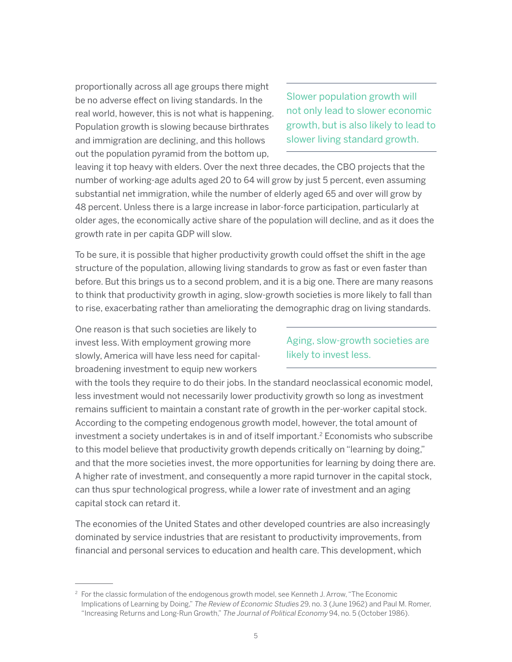proportionally across all age groups there might be no adverse effect on living standards. In the real world, however, this is not what is happening. Population growth is slowing because birthrates and immigration are declining, and this hollows out the population pyramid from the bottom up,

Slower population growth will not only lead to slower economic growth, but is also likely to lead to slower living standard growth.

leaving it top heavy with elders. Over the next three decades, the CBO projects that the number of working-age adults aged 20 to 64 will grow by just 5 percent, even assuming substantial net immigration, while the number of elderly aged 65 and over will grow by 48 percent. Unless there is a large increase in labor-force participation, particularly at older ages, the economically active share of the population will decline, and as it does the growth rate in per capita GDP will slow.

To be sure, it is possible that higher productivity growth could offset the shift in the age structure of the population, allowing living standards to grow as fast or even faster than before. But this brings us to a second problem, and it is a big one. There are many reasons to think that productivity growth in aging, slow-growth societies is more likely to fall than to rise, exacerbating rather than ameliorating the demographic drag on living standards.

One reason is that such societies are likely to invest less. With employment growing more slowly, America will have less need for capitalbroadening investment to equip new workers

### Aging, slow-growth societies are likely to invest less.

with the tools they require to do their jobs. In the standard neoclassical economic model, less investment would not necessarily lower productivity growth so long as investment remains sufficient to maintain a constant rate of growth in the per-worker capital stock. According to the competing endogenous growth model, however, the total amount of investment a society undertakes is in and of itself important.<sup>2</sup> Economists who subscribe to this model believe that productivity growth depends critically on "learning by doing," and that the more societies invest, the more opportunities for learning by doing there are. A higher rate of investment, and consequently a more rapid turnover in the capital stock, can thus spur technological progress, while a lower rate of investment and an aging capital stock can retard it.

The economies of the United States and other developed countries are also increasingly dominated by service industries that are resistant to productivity improvements, from financial and personal services to education and health care. This development, which

 $2$  For the classic formulation of the endogenous growth model, see Kenneth J. Arrow, "The Economic Implications of Learning by Doing," The Review of Economic Studies 29, no. 3 (June 1962) and Paul M. Romer, "Increasing Returns and Long-Run Growth," The Journal of Political Economy 94, no. 5 (October 1986).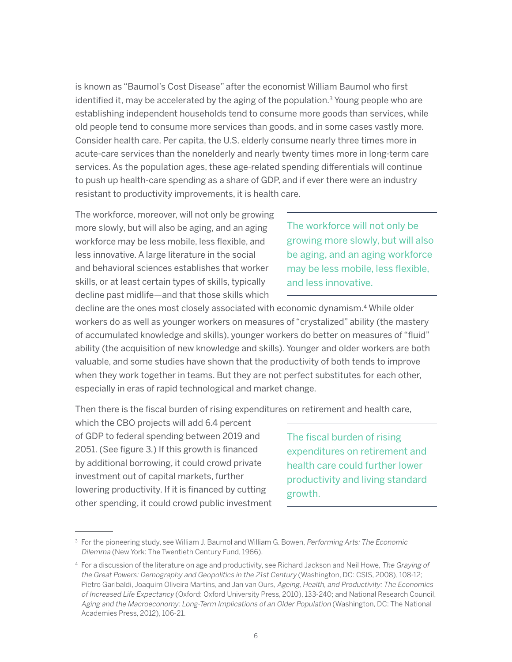is known as "Baumol's Cost Disease" after the economist William Baumol who first identified it, may be accelerated by the aging of the population.<sup>3</sup> Young people who are establishing independent households tend to consume more goods than services, while old people tend to consume more services than goods, and in some cases vastly more. Consider health care. Per capita, the U.S. elderly consume nearly three times more in acute-care services than the nonelderly and nearly twenty times more in long-term care services. As the population ages, these age-related spending differentials will continue to push up health-care spending as a share of GDP, and if ever there were an industry resistant to productivity improvements, it is health care.

The workforce, moreover, will not only be growing more slowly, but will also be aging, and an aging workforce may be less mobile, less flexible, and less innovative. A large literature in the social and behavioral sciences establishes that worker skills, or at least certain types of skills, typically decline past midlife—and that those skills which

The workforce will not only be growing more slowly, but will also be aging, and an aging workforce may be less mobile, less flexible, and less innovative.

decline are the ones most closely associated with economic dynamism.<sup>4</sup> While older workers do as well as younger workers on measures of "crystalized" ability (the mastery of accumulated knowledge and skills), younger workers do better on measures of "fluid" ability (the acquisition of new knowledge and skills). Younger and older workers are both valuable, and some studies have shown that the productivity of both tends to improve when they work together in teams. But they are not perfect substitutes for each other, especially in eras of rapid technological and market change.

Then there is the fiscal burden of rising expenditures on retirement and health care,

which the CBO projects will add 6.4 percent of GDP to federal spending between 2019 and 2051. (See figure 3.) If this growth is financed by additional borrowing, it could crowd private investment out of capital markets, further lowering productivity. If it is financed by cutting other spending, it could crowd public investment

The fiscal burden of rising expenditures on retirement and health care could further lower productivity and living standard growth.

<sup>&</sup>lt;sup>3</sup> For the pioneering study, see William J. Baumol and William G. Bowen, Performing Arts: The Economic Dilemma (New York: The Twentieth Century Fund, 1966).

<sup>&</sup>lt;sup>4</sup> For a discussion of the literature on age and productivity, see Richard Jackson and Neil Howe, The Graying of the Great Powers: Demography and Geopolitics in the 21st Century (Washington, DC: CSIS, 2008), 108-12; Pietro Garibaldi, Joaquim Oliveira Martins, and Jan van Ours, Ageing, Health, and Productivity: The Economics of Increased Life Expectancy (Oxford: Oxford University Press, 2010), 133-240; and National Research Council, Aging and the Macroeconomy: Long-Term Implications of an Older Population (Washington, DC: The National Academies Press, 2012), 106-21.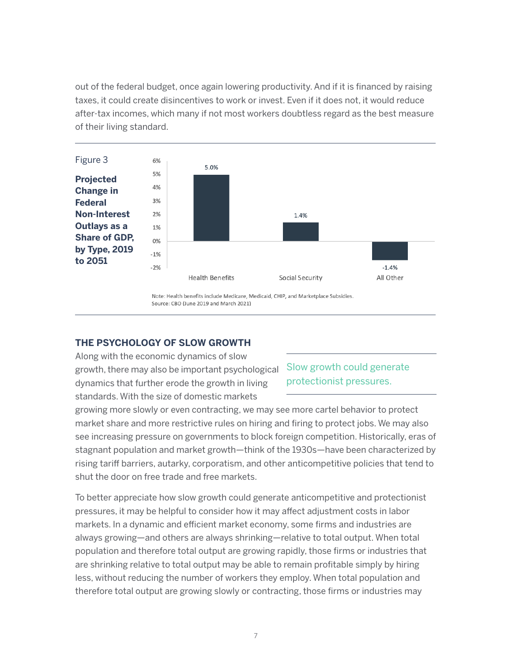out of the federal budget, once again lowering productivity. And if it is financed by raising taxes, it could create disincentives to work or invest. Even if it does not, it would reduce after-tax incomes, which many if not most workers doubtless regard as the best measure of their living standard.



Note: Health benefits include Medicare, Medicaid, CHIP, and Marketplace Subsidies. Source: CBO (June 2019 and March 2021)

#### **THE PSYCHOLOGY OF SLOW GROWTH**

Along with the economic dynamics of slow growth, there may also be important psychological dynamics that further erode the growth in living standards. With the size of domestic markets

Slow growth could generate protectionist pressures.

growing more slowly or even contracting, we may see more cartel behavior to protect market share and more restrictive rules on hiring and firing to protect jobs. We may also see increasing pressure on governments to block foreign competition. Historically, eras of stagnant population and market growth—think of the 1930s—have been characterized by rising tariff barriers, autarky, corporatism, and other anticompetitive policies that tend to shut the door on free trade and free markets.

To better appreciate how slow growth could generate anticompetitive and protectionist pressures, it may be helpful to consider how it may affect adjustment costs in labor markets. In a dynamic and efficient market economy, some firms and industries are always growing—and others are always shrinking—relative to total output. When total population and therefore total output are growing rapidly, those firms or industries that are shrinking relative to total output may be able to remain profitable simply by hiring less, without reducing the number of workers they employ. When total population and therefore total output are growing slowly or contracting, those firms or industries may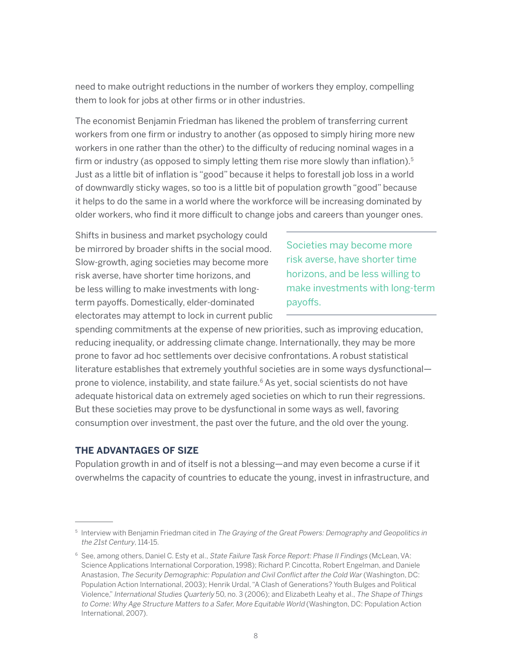need to make outright reductions in the number of workers they employ, compelling them to look for jobs at other firms or in other industries.

The economist Benjamin Friedman has likened the problem of transferring current workers from one firm or industry to another (as opposed to simply hiring more new workers in one rather than the other) to the difficulty of reducing nominal wages in a firm or industry (as opposed to simply letting them rise more slowly than inflation).<sup>5</sup> Just as a little bit of inflation is "good" because it helps to forestall job loss in a world of downwardly sticky wages, so too is a little bit of population growth "good" because it helps to do the same in a world where the workforce will be increasing dominated by older workers, who find it more difficult to change jobs and careers than younger ones.

Shifts in business and market psychology could be mirrored by broader shifts in the social mood. Slow-growth, aging societies may become more risk averse, have shorter time horizons, and be less willing to make investments with longterm payoffs. Domestically, elder-dominated electorates may attempt to lock in current public

Societies may become more risk averse, have shorter time horizons, and be less willing to make investments with long-term payoffs.

spending commitments at the expense of new priorities, such as improving education, reducing inequality, or addressing climate change. Internationally, they may be more prone to favor ad hoc settlements over decisive confrontations. A robust statistical literature establishes that extremely youthful societies are in some ways dysfunctional prone to violence, instability, and state failure.<sup>6</sup> As yet, social scientists do not have adequate historical data on extremely aged societies on which to run their regressions. But these societies may prove to be dysfunctional in some ways as well, favoring consumption over investment, the past over the future, and the old over the young.

#### **THE ADVANTAGES OF SIZE**

Population growth in and of itself is not a blessing—and may even become a curse if it overwhelms the capacity of countries to educate the young, invest in infrastructure, and

<sup>&</sup>lt;sup>5</sup> Interview with Benjamin Friedman cited in The Graying of the Great Powers: Demography and Geopolitics in the 21st Century, 114-15.

<sup>&</sup>lt;sup>6</sup> See, among others, Daniel C. Esty et al., State Failure Task Force Report: Phase II Findings (McLean, VA: Science Applications International Corporation, 1998); Richard P. Cincotta, Robert Engelman, and Daniele Anastasion, The Security Demographic: Population and Civil Conflict after the Cold War (Washington, DC: Population Action International, 2003); Henrik Urdal, "A Clash of Generations? Youth Bulges and Political Violence," International Studies Quarterly 50, no. 3 (2006); and Elizabeth Leahy et al., The Shape of Things to Come: Why Age Structure Matters to a Safer, More Equitable World (Washington, DC: Population Action International, 2007).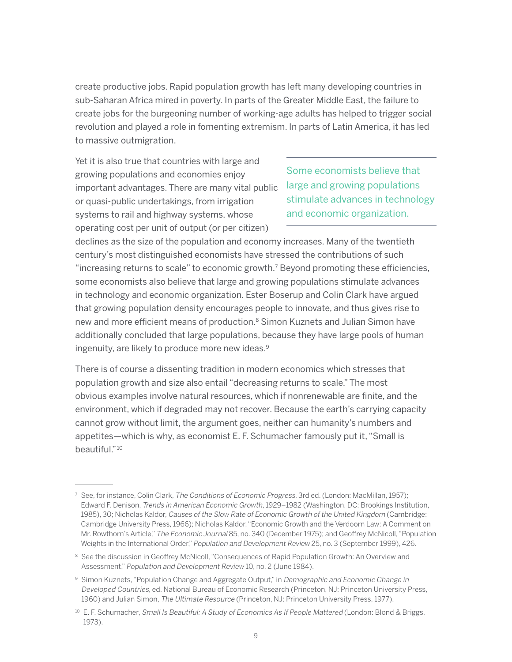create productive jobs. Rapid population growth has left many developing countries in sub-Saharan Africa mired in poverty. In parts of the Greater Middle East, the failure to create jobs for the burgeoning number of working-age adults has helped to trigger social revolution and played a role in fomenting extremism. In parts of Latin America, it has led to massive outmigration.

Yet it is also true that countries with large and growing populations and economies enjoy important advantages. There are many vital public or quasi-public undertakings, from irrigation systems to rail and highway systems, whose operating cost per unit of output (or per citizen)

Some economists believe that large and growing populations stimulate advances in technology and economic organization.

declines as the size of the population and economy increases. Many of the twentieth century's most distinguished economists have stressed the contributions of such "increasing returns to scale" to economic growth.<sup>7</sup> Beyond promoting these efficiencies, some economists also believe that large and growing populations stimulate advances in technology and economic organization. Ester Boserup and Colin Clark have argued that growing population density encourages people to innovate, and thus gives rise to new and more efficient means of production.<sup>8</sup> Simon Kuznets and Julian Simon have additionally concluded that large populations, because they have large pools of human ingenuity, are likely to produce more new ideas.<sup>9</sup>

There is of course a dissenting tradition in modern economics which stresses that population growth and size also entail "decreasing returns to scale." The most obvious examples involve natural resources, which if nonrenewable are finite, and the environment, which if degraded may not recover. Because the earth's carrying capacity cannot grow without limit, the argument goes, neither can humanity's numbers and appetites—which is why, as economist E. F. Schumacher famously put it, "Small is beautiful."10

 $^7\,$  See, for instance, Colin Clark, *The Conditions of Economic Progress*, 3rd ed. (London: MacMillan, 1957); Edward F. Denison, Trends in American Economic Growth, 1929–1982 (Washington, DC: Brookings Institution, 1985), 30; Nicholas Kaldor, Causes of the Slow Rate of Economic Growth of the United Kingdom (Cambridge: Cambridge University Press, 1966); Nicholas Kaldor, "Economic Growth and the Verdoorn Law: A Comment on Mr. Rowthorn's Article," The Economic Journal 85, no. 340 (December 1975); and Geoffrey McNicoll, "Population Weights in the International Order," Population and Development Review 25, no. 3 (September 1999), 426.

<sup>&</sup>lt;sup>8</sup> See the discussion in Geoffrey McNicoll, "Consequences of Rapid Population Growth: An Overview and Assessment," Population and Development Review 10, no. 2 (June 1984).

<sup>9</sup> Simon Kuznets, "Population Change and Aggregate Output," in Demographic and Economic Change in Developed Countries, ed. National Bureau of Economic Research (Princeton, NJ: Princeton University Press, 1960) and Julian Simon, The Ultimate Resource (Princeton, NJ: Princeton University Press, 1977).

<sup>&</sup>lt;sup>10</sup> E. F. Schumacher, Small Is Beautiful: A Study of Economics As If People Mattered (London: Blond & Briggs, 1973).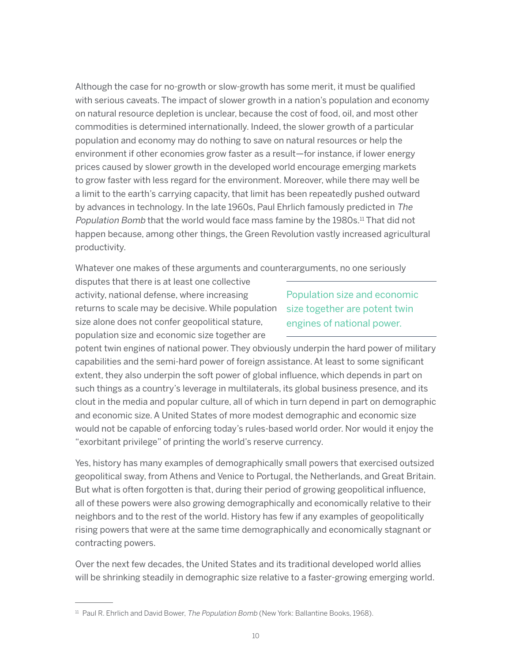Although the case for no-growth or slow-growth has some merit, it must be qualified with serious caveats. The impact of slower growth in a nation's population and economy on natural resource depletion is unclear, because the cost of food, oil, and most other commodities is determined internationally. Indeed, the slower growth of a particular population and economy may do nothing to save on natural resources or help the environment if other economies grow faster as a result—for instance, if lower energy prices caused by slower growth in the developed world encourage emerging markets to grow faster with less regard for the environment. Moreover, while there may well be a limit to the earth's carrying capacity, that limit has been repeatedly pushed outward by advances in technology. In the late 1960s, Paul Ehrlich famously predicted in The Population Bomb that the world would face mass famine by the 1980s.<sup>11</sup> That did not happen because, among other things, the Green Revolution vastly increased agricultural productivity.

Whatever one makes of these arguments and counterarguments, no one seriously

disputes that there is at least one collective activity, national defense, where increasing returns to scale may be decisive. While population size alone does not confer geopolitical stature, population size and economic size together are

Population size and economic size together are potent twin engines of national power.

potent twin engines of national power. They obviously underpin the hard power of military capabilities and the semi-hard power of foreign assistance. At least to some significant extent, they also underpin the soft power of global influence, which depends in part on such things as a country's leverage in multilaterals, its global business presence, and its clout in the media and popular culture, all of which in turn depend in part on demographic and economic size. A United States of more modest demographic and economic size would not be capable of enforcing today's rules-based world order. Nor would it enjoy the "exorbitant privilege" of printing the world's reserve currency.

Yes, history has many examples of demographically small powers that exercised outsized geopolitical sway, from Athens and Venice to Portugal, the Netherlands, and Great Britain. But what is often forgotten is that, during their period of growing geopolitical influence, all of these powers were also growing demographically and economically relative to their neighbors and to the rest of the world. History has few if any examples of geopolitically rising powers that were at the same time demographically and economically stagnant or contracting powers.

Over the next few decades, the United States and its traditional developed world allies will be shrinking steadily in demographic size relative to a faster-growing emerging world.

 $11$  Paul R. Ehrlich and David Bower, The Population Bomb (New York: Ballantine Books, 1968).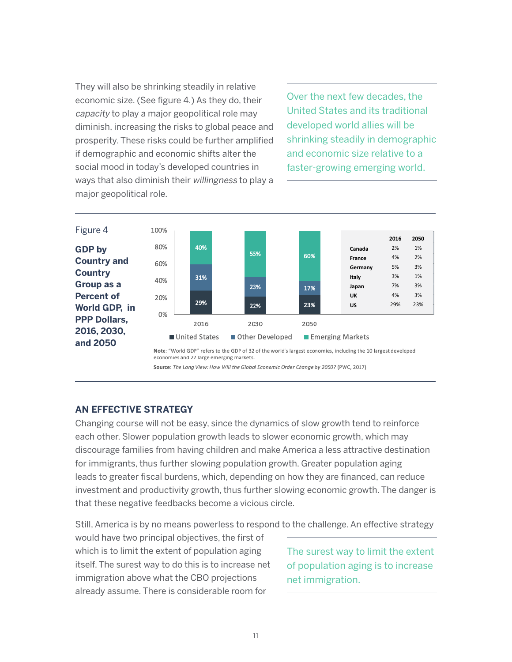They will also be shrinking steadily in relative economic size. (See figure 4.) As they do, their capacity to play a major geopolitical role may diminish, increasing the risks to global peace and prosperity. These risks could be further amplified if demographic and economic shifts alter the social mood in today's developed countries in ways that also diminish their willingness to play a major geopolitical role.

Over the next few decades, the United States and its traditional developed world allies will be shrinking steadily in demographic and economic size relative to a faster-growing emerging world.



Note: "World GDP" refers to the GDP of 32 of the world's largest economies, including the 10 largest developed economies and 22 large emerging markets.

Source: The Long View: How Will the Global Economic Order Change by 2050? (PWC, 2017)

#### **AN EFFECTIVE STRATEGY**

Changing course will not be easy, since the dynamics of slow growth tend to reinforce each other. Slower population growth leads to slower economic growth, which may discourage families from having children and make America a less attractive destination for immigrants, thus further slowing population growth. Greater population aging leads to greater fiscal burdens, which, depending on how they are financed, can reduce investment and productivity growth, thus further slowing economic growth. The danger is that these negative feedbacks become a vicious circle.

Still, America is by no means powerless to respond to the challenge. An effective strategy

would have two principal objectives, the first of which is to limit the extent of population aging itself. The surest way to do this is to increase net immigration above what the CBO projections already assume. There is considerable room for

The surest way to limit the extent of population aging is to increase net immigration.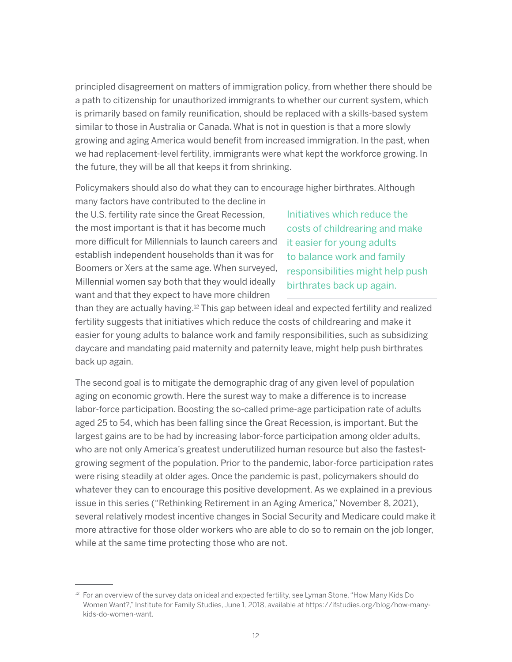principled disagreement on matters of immigration policy, from whether there should be a path to citizenship for unauthorized immigrants to whether our current system, which is primarily based on family reunification, should be replaced with a skills-based system similar to those in Australia or Canada. What is not in question is that a more slowly growing and aging America would benefit from increased immigration. In the past, when we had replacement-level fertility, immigrants were what kept the workforce growing. In the future, they will be all that keeps it from shrinking.

Policymakers should also do what they can to encourage higher birthrates. Although

many factors have contributed to the decline in the U.S. fertility rate since the Great Recession, the most important is that it has become much more difficult for Millennials to launch careers and establish independent households than it was for Boomers or Xers at the same age. When surveyed, Millennial women say both that they would ideally want and that they expect to have more children

Initiatives which reduce the costs of childrearing and make it easier for young adults to balance work and family responsibilities might help push birthrates back up again.

than they are actually having.<sup>12</sup> This gap between ideal and expected fertility and realized fertility suggests that initiatives which reduce the costs of childrearing and make it easier for young adults to balance work and family responsibilities, such as subsidizing daycare and mandating paid maternity and paternity leave, might help push birthrates back up again.

The second goal is to mitigate the demographic drag of any given level of population aging on economic growth. Here the surest way to make a difference is to increase labor-force participation. Boosting the so-called prime-age participation rate of adults aged 25 to 54, which has been falling since the Great Recession, is important. But the largest gains are to be had by increasing labor-force participation among older adults, who are not only America's greatest underutilized human resource but also the fastestgrowing segment of the population. Prior to the pandemic, labor-force participation rates were rising steadily at older ages. Once the pandemic is past, policymakers should do whatever they can to encourage this positive development. As we explained in a previous issue in this series ("Rethinking Retirement in an Aging America," November 8, 2021), several relatively modest incentive changes in Social Security and Medicare could make it more attractive for those older workers who are able to do so to remain on the job longer, while at the same time protecting those who are not.

 $12$  For an overview of the survey data on ideal and expected fertility, see Lyman Stone, "How Many Kids Do Women Want?," Institute for Family Studies, June 1, 2018, available at https://ifstudies.org/blog/how-manykids-do-women-want.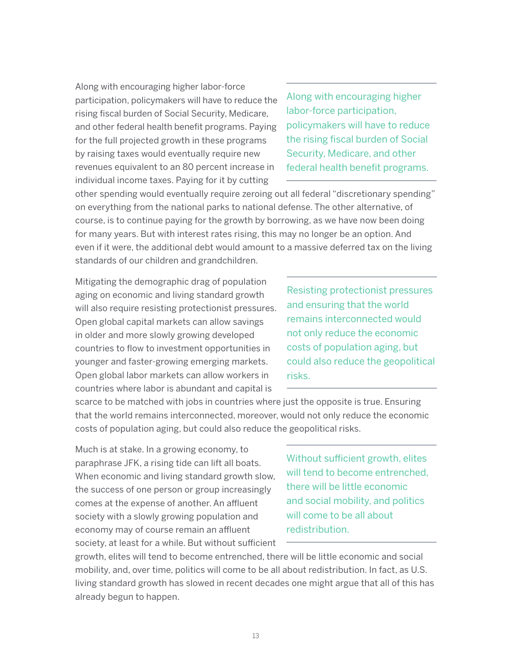Along with encouraging higher labor-force participation, policymakers will have to reduce the rising fiscal burden of Social Security, Medicare, and other federal health benefit programs. Paying for the full projected growth in these programs by raising taxes would eventually require new revenues equivalent to an 80 percent increase in individual income taxes. Paying for it by cutting

Along with encouraging higher labor-force participation, policymakers will have to reduce the rising fiscal burden of Social Security, Medicare, and other federal health benefit programs.

other spending would eventually require zeroing out all federal "discretionary spending" on everything from the national parks to national defense. The other alternative, of course, is to continue paying for the growth by borrowing, as we have now been doing for many years. But with interest rates rising, this may no longer be an option. And even if it were, the additional debt would amount to a massive deferred tax on the living standards of our children and grandchildren.

Mitigating the demographic drag of population aging on economic and living standard growth will also require resisting protectionist pressures. Open global capital markets can allow savings in older and more slowly growing developed countries to flow to investment opportunities in younger and faster-growing emerging markets. Open global labor markets can allow workers in countries where labor is abundant and capital is

Resisting protectionist pressures and ensuring that the world remains interconnected would not only reduce the economic costs of population aging, but could also reduce the geopolitical risks.

scarce to be matched with jobs in countries where just the opposite is true. Ensuring that the world remains interconnected, moreover, would not only reduce the economic costs of population aging, but could also reduce the geopolitical risks.

Much is at stake. In a growing economy, to paraphrase JFK, a rising tide can lift all boats. When economic and living standard growth slow, the success of one person or group increasingly comes at the expense of another. An affluent society with a slowly growing population and economy may of course remain an affluent society, at least for a while. But without sufficient

Without sufficient growth, elites will tend to become entrenched. there will be little economic and social mobility, and politics will come to be all about redistribution.

growth, elites will tend to become entrenched, there will be little economic and social mobility, and, over time, politics will come to be all about redistribution. In fact, as U.S. living standard growth has slowed in recent decades one might argue that all of this has already begun to happen.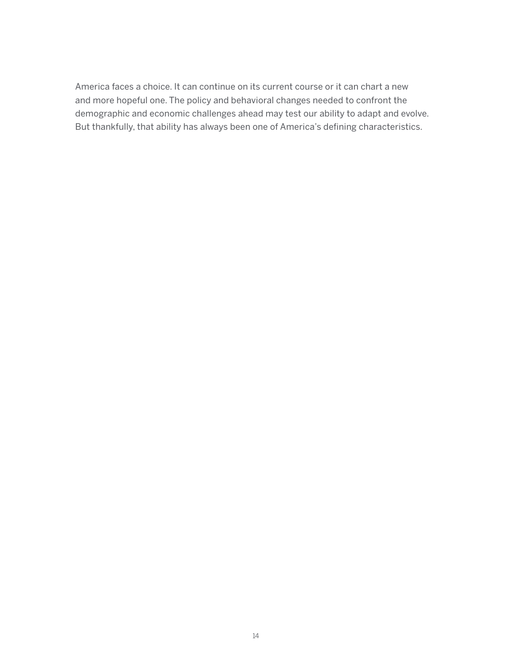America faces a choice. It can continue on its current course or it can chart a new and more hopeful one. The policy and behavioral changes needed to confront the demographic and economic challenges ahead may test our ability to adapt and evolve. But thankfully, that ability has always been one of America's defining characteristics.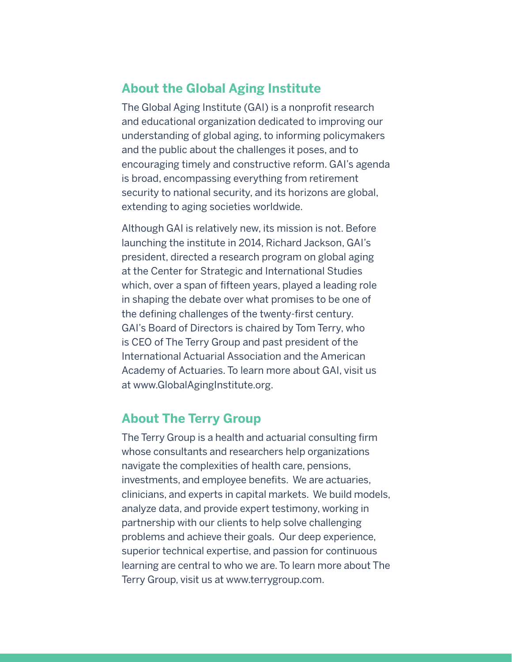# **About the Global Aging Institute**

The Global Aging Institute (GAI) is a nonprofit research and educational organization dedicated to improving our understanding of global aging, to informing policymakers and the public about the challenges it poses, and to encouraging timely and constructive reform. GAI's agenda is broad, encompassing everything from retirement security to national security, and its horizons are global, extending to aging societies worldwide.

Although GAI is relatively new, its mission is not. Before launching the institute in 2014, Richard Jackson, GAI's president, directed a research program on global aging at the Center for Strategic and International Studies which, over a span of fifteen years, played a leading role in shaping the debate over what promises to be one of the defining challenges of the twenty-first century. GAI's Board of Directors is chaired by Tom Terry, who is CEO of The Terry Group and past president of the International Actuarial Association and the American Academy of Actuaries. To learn more about GAI, visit us at [www.GlobalAgingInstitute.org.](www.GlobalAgingInstitute.org)

## **About The Terry Group**

The Terry Group is a health and actuarial consulting firm whose consultants and researchers help organizations navigate the complexities of health care, pensions, investments, and employee benefits. We are actuaries, clinicians, and experts in capital markets. We build models, analyze data, and provide expert testimony, working in partnership with our clients to help solve challenging problems and achieve their goals. Our deep experience, superior technical expertise, and passion for continuous learning are central to who we are. To learn more about The Terry Group, visit us at [www.terrygroup.com.](www.terrygroup.com)